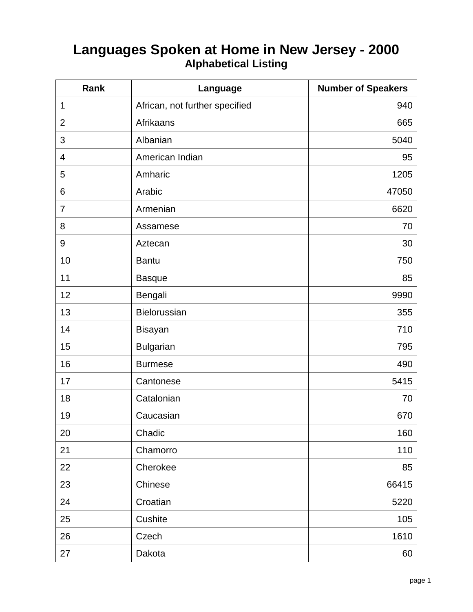## **Languages Spoken at Home in New Jersey - 2000 Alphabetical Listing**

| Rank            | Language                       | <b>Number of Speakers</b> |
|-----------------|--------------------------------|---------------------------|
| 1               | African, not further specified | 940                       |
| $\overline{2}$  | <b>Afrikaans</b>               | 665                       |
| 3               | Albanian                       | 5040                      |
| $\overline{4}$  | American Indian                | 95                        |
| 5               | Amharic                        | 1205                      |
| $6\phantom{1}6$ | Arabic                         | 47050                     |
| $\overline{7}$  | Armenian                       | 6620                      |
| 8               | Assamese                       | 70                        |
| $9\,$           | Aztecan                        | 30                        |
| 10              | <b>Bantu</b>                   | 750                       |
| 11              | <b>Basque</b>                  | 85                        |
| 12              | Bengali                        | 9990                      |
| 13              | Bielorussian                   | 355                       |
| 14              | Bisayan                        | 710                       |
| 15              | <b>Bulgarian</b>               | 795                       |
| 16              | <b>Burmese</b>                 | 490                       |
| 17              | Cantonese                      | 5415                      |
| 18              | Catalonian                     | 70                        |
| 19              | Caucasian                      | 670                       |
| 20              | Chadic                         | 160                       |
| 21              | Chamorro                       | 110                       |
| 22              | Cherokee                       | 85                        |
| 23              | Chinese                        | 66415                     |
| 24              | Croatian                       | 5220                      |
| 25              | Cushite                        | 105                       |
| 26              | Czech                          | 1610                      |
| 27              | Dakota                         | 60                        |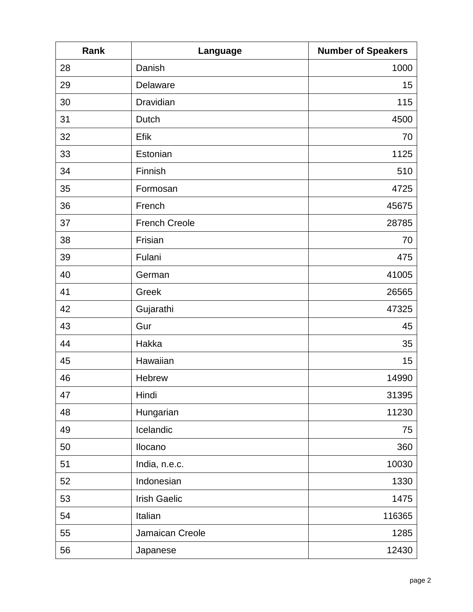| Rank | Language             | <b>Number of Speakers</b> |
|------|----------------------|---------------------------|
| 28   | Danish               | 1000                      |
| 29   | Delaware             | 15                        |
| 30   | Dravidian            | 115                       |
| 31   | Dutch                | 4500                      |
| 32   | Efik                 | 70                        |
| 33   | Estonian             | 1125                      |
| 34   | Finnish              | 510                       |
| 35   | Formosan             | 4725                      |
| 36   | French               | 45675                     |
| 37   | <b>French Creole</b> | 28785                     |
| 38   | Frisian              | 70                        |
| 39   | Fulani               | 475                       |
| 40   | German               | 41005                     |
| 41   | Greek                | 26565                     |
| 42   | Gujarathi            | 47325                     |
| 43   | Gur                  | 45                        |
| 44   | Hakka                | 35                        |
| 45   | Hawaiian             | 15                        |
| 46   | Hebrew               | 14990                     |
| 47   | Hindi                | 31395                     |
| 48   | Hungarian            | 11230                     |
| 49   | Icelandic            | 75                        |
| 50   | Ilocano              | 360                       |
| 51   | India, n.e.c.        | 10030                     |
| 52   | Indonesian           | 1330                      |
| 53   | <b>Irish Gaelic</b>  | 1475                      |
| 54   | Italian              | 116365                    |
| 55   | Jamaican Creole      | 1285                      |
| 56   | Japanese             | 12430                     |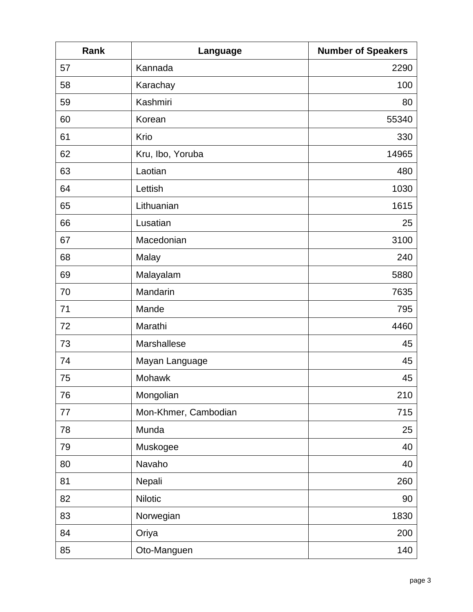| Rank | Language             | <b>Number of Speakers</b> |
|------|----------------------|---------------------------|
| 57   | Kannada              | 2290                      |
| 58   | Karachay             | 100                       |
| 59   | Kashmiri             | 80                        |
| 60   | Korean               | 55340                     |
| 61   | Krio                 | 330                       |
| 62   | Kru, Ibo, Yoruba     | 14965                     |
| 63   | Laotian              | 480                       |
| 64   | Lettish              | 1030                      |
| 65   | Lithuanian           | 1615                      |
| 66   | Lusatian             | 25                        |
| 67   | Macedonian           | 3100                      |
| 68   | Malay                | 240                       |
| 69   | Malayalam            | 5880                      |
| 70   | Mandarin             | 7635                      |
| 71   | Mande                | 795                       |
| 72   | Marathi              | 4460                      |
| 73   | Marshallese          | 45                        |
| 74   | Mayan Language       | 45                        |
| 75   | Mohawk               | 45                        |
| 76   | Mongolian            | 210                       |
| 77   | Mon-Khmer, Cambodian | 715                       |
| 78   | Munda                | 25                        |
| 79   | Muskogee             | 40                        |
| 80   | Navaho               | 40                        |
| 81   | Nepali               | 260                       |
| 82   | <b>Nilotic</b>       | 90                        |
| 83   | Norwegian            | 1830                      |
| 84   | Oriya                | 200                       |
| 85   | Oto-Manguen          | 140                       |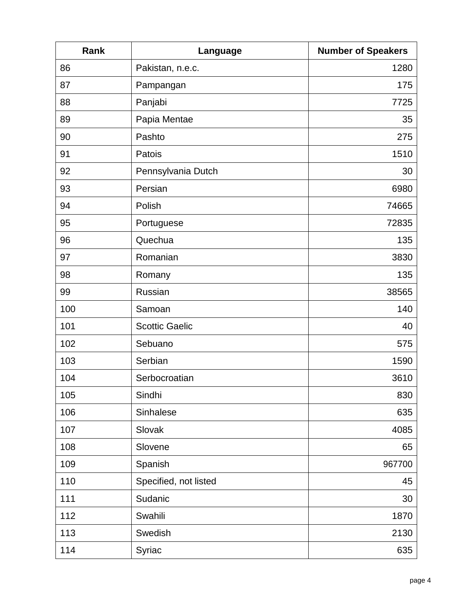| Rank | Language              | <b>Number of Speakers</b> |
|------|-----------------------|---------------------------|
| 86   | Pakistan, n.e.c.      | 1280                      |
| 87   | Pampangan             | 175                       |
| 88   | Panjabi               | 7725                      |
| 89   | Papia Mentae          | 35                        |
| 90   | Pashto                | 275                       |
| 91   | Patois                | 1510                      |
| 92   | Pennsylvania Dutch    | 30                        |
| 93   | Persian               | 6980                      |
| 94   | Polish                | 74665                     |
| 95   | Portuguese            | 72835                     |
| 96   | Quechua               | 135                       |
| 97   | Romanian              | 3830                      |
| 98   | Romany                | 135                       |
| 99   | Russian               | 38565                     |
| 100  | Samoan                | 140                       |
| 101  | <b>Scottic Gaelic</b> | 40                        |
| 102  | Sebuano               | 575                       |
| 103  | Serbian               | 1590                      |
| 104  | Serbocroatian         | 3610                      |
| 105  | Sindhi                | 830                       |
| 106  | Sinhalese             | 635                       |
| 107  | Slovak                | 4085                      |
| 108  | Slovene               | 65                        |
| 109  | Spanish               | 967700                    |
| 110  | Specified, not listed | 45                        |
| 111  | Sudanic               | 30                        |
| 112  | Swahili               | 1870                      |
| 113  | Swedish               | 2130                      |
| 114  | Syriac                | 635                       |